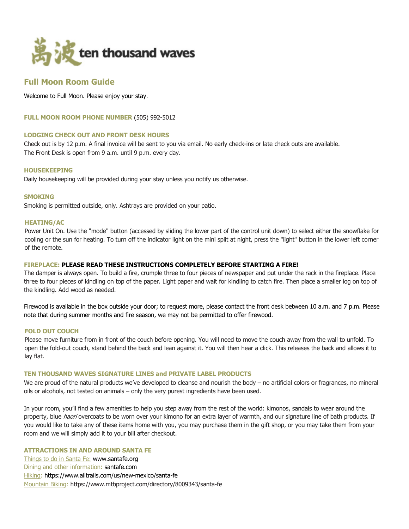

# **Full Moon Room Guide**

Welcome to Full Moon. Please enjoy your stay.

**FULL MOON ROOM PHONE NUMBER** (505) 992-5012

# **LODGING CHECK OUT AND FRONT DESK HOURS**

Check out is by 12 p.m. A final invoice will be sent to you via email. No early check-ins or late check outs are available. The Front Desk is open from 9 a.m. until 9 p.m. every day.

## **HOUSEKEEPING**

Daily housekeeping will be provided during your stay unless you notify us otherwise.

## **SMOKING**

Smoking is permitted outside, only. Ashtrays are provided on your patio.

# **HEATING/AC**

Power Unit On. Use the "mode" button (accessed by sliding the lower part of the control unit down) to select either the snowflake for cooling or the sun for heating. To turn off the indicator light on the mini split at night, press the "light" button in the lower left corner of the remote.

# **FIREPLACE: PLEASE READ THESE INSTRUCTIONS COMPLETELY BEFORE STARTING A FIRE!**

The damper is always open. To build a fire, crumple three to four pieces of newspaper and put under the rack in the fireplace. Place three to four pieces of kindling on top of the paper. Light paper and wait for kindling to catch fire. Then place a smaller log on top of the kindling. Add wood as needed.

Firewood is available in the box outside your door; to request more, please contact the front desk between 10 a.m. and 7 p.m. Please note that during summer months and fire season, we may not be permitted to offer firewood.

## **FOLD OUT COUCH**

Please move furniture from in front of the couch before opening. You will need to move the couch away from the wall to unfold. To open the fold-out couch, stand behind the back and lean against it. You will then hear a click. This releases the back and allows it to lay flat.

# **TEN THOUSAND WAVES SIGNATURE LINES and PRIVATE LABEL PRODUCTS**

We are proud of the natural products we've developed to cleanse and nourish the body – no artificial colors or fragrances, no mineral oils or alcohols, not tested on animals – only the very purest ingredients have been used.

In your room, you'll find a few amenities to help you step away from the rest of the world: kimonos, sandals to wear around the property, blue *haori* overcoats to be worn over your kimono for an extra layer of warmth, and our signature line of bath products. If you would like to take any of these items home with you, you may purchase them in the gift shop, or you may take them from your room and we will simply add it to your bill after checkout.

# **ATTRACTIONS IN AND AROUND SANTA FE**

Things to do in Santa Fe: www.santafe.org Dining and other information: santafe.com Hiking: https://www.alltrails.com/us/new-mexico/santa-fe Mountain Biking: https://www.mtbproject.com/directory/8009343/santa-fe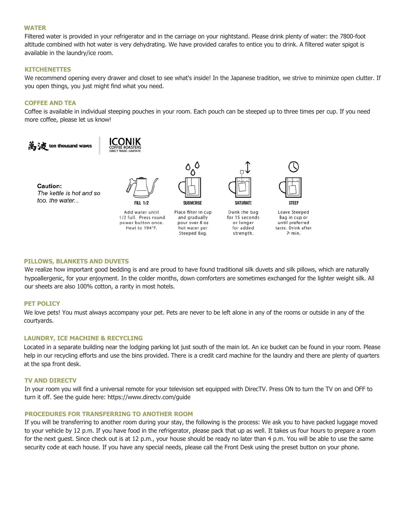#### **WATER**

Filtered water is provided in your refrigerator and in the carriage on your nightstand. Please drink plenty of water: the 7800-foot altitude combined with hot water is very dehydrating. We have provided carafes to entice you to drink. A filtered water spigot is available in the laundry/ice room.

# **KITCHENETTES**

We recommend opening every drawer and closet to see what's inside! In the Japanese tradition, we strive to minimize open clutter. If you open things, you just might find what you need.

# **COFFEE AND TEA**

Coffee is available in individual steeping pouches in your room. Each pouch can be steeped up to three times per cup. If you need more coffee, please let us know!



#### **PILLOWS, BLANKETS AND DUVETS**

We realize how important good bedding is and are proud to have found traditional silk duvets and silk pillows, which are naturally hypoallergenic, for your enjoyment. In the colder months, down comforters are sometimes exchanged for the lighter weight silk. All our sheets are also 100% cotton, a rarity in most hotels.

#### **PET POLICY**

We love pets! You must always accompany your pet. Pets are never to be left alone in any of the rooms or outside in any of the courtyards.

## **LAUNDRY, ICE MACHINE & RECYCLING**

Located in a separate building near the lodging parking lot just south of the main lot. An ice bucket can be found in your room. Please help in our recycling efforts and use the bins provided. There is a credit card machine for the laundry and there are plenty of quarters at the spa front desk.

## **TV AND DIRECTV**

In your room you will find a universal remote for your television set equipped with DirecTV. Press ON to turn the TV on and OFF to turn it off. See the guide here: https://www.directv.com/guide

#### **PROCEDURES FOR TRANSFERRING TO ANOTHER ROOM**

If you will be transferring to another room during your stay, the following is the process: We ask you to have packed luggage moved to your vehicle by 12 p.m. If you have food in the refrigerator, please pack that up as well. It takes us four hours to prepare a room for the next guest. Since check out is at 12 p.m., your house should be ready no later than 4 p.m. You will be able to use the same security code at each house. If you have any special needs, please call the Front Desk using the preset button on your phone.